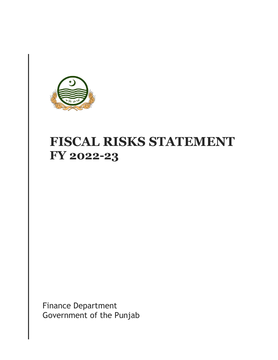

# **FISCAL RISKS STATEMENT FY 2022-23**

Finance Department Government of the Punjab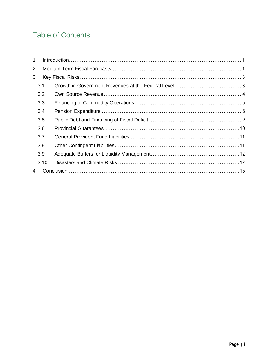### **Table of Contents**

| $1_{-}$ |      |  |
|---------|------|--|
| 2.      |      |  |
| 3.      |      |  |
|         | 3.1  |  |
|         | 3.2  |  |
|         | 3.3  |  |
|         | 3.4  |  |
|         | 3.5  |  |
|         | 3.6  |  |
|         | 3.7  |  |
|         | 3.8  |  |
|         | 3.9  |  |
|         | 3.10 |  |
| 4.      |      |  |
|         |      |  |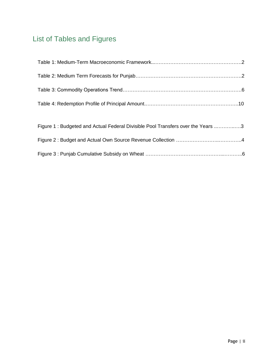## List of Tables and Figures

| Figure 1: Budgeted and Actual Federal Divisible Pool Transfers over the Years 3 |  |
|---------------------------------------------------------------------------------|--|
|                                                                                 |  |
|                                                                                 |  |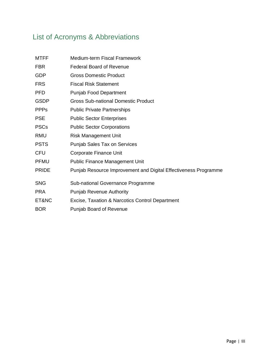## List of Acronyms & Abbreviations

| Medium-term Fiscal Framework                                    |
|-----------------------------------------------------------------|
| <b>Federal Board of Revenue</b>                                 |
| <b>Gross Domestic Product</b>                                   |
| <b>Fiscal Risk Statement</b>                                    |
| <b>Punjab Food Department</b>                                   |
| Gross Sub-national Domestic Product                             |
| <b>Public Private Partnerships</b>                              |
| <b>Public Sector Enterprises</b>                                |
| <b>Public Sector Corporations</b>                               |
| <b>Risk Management Unit</b>                                     |
| <b>Punjab Sales Tax on Services</b>                             |
| <b>Corporate Finance Unit</b>                                   |
| <b>Public Finance Management Unit</b>                           |
| Punjab Resource Improvement and Digital Effectiveness Programme |
| Sub-national Governance Programme                               |
| <b>Punjab Revenue Authority</b>                                 |
| Excise, Taxation & Narcotics Control Department                 |
| Punjab Board of Revenue                                         |
|                                                                 |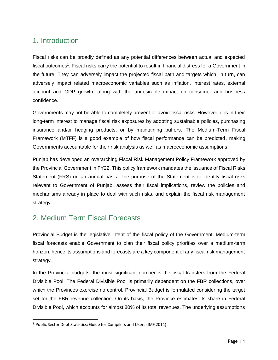### <span id="page-4-0"></span>1. Introduction

Fiscal risks can be broadly defined as any potential differences between actual and expected fiscal outcomes<sup>1</sup>. Fiscal risks carry the potential to result in financial distress for a Government in the future. They can adversely impact the projected fiscal path and targets which, in turn, can adversely impact related macroeconomic variables such as inflation, interest rates, external account and GDP growth, along with the undesirable impact on consumer and business confidence.

Governments may not be able to completely prevent or avoid fiscal risks. However, it is in their long-term interest to manage fiscal risk exposures by adopting sustainable policies, purchasing insurance and/or hedging products, or by maintaining buffers. The Medium-Term Fiscal Framework (MTFF) is a good example of how fiscal performance can be predicted, making Governments accountable for their risk analysis as well as macroeconomic assumptions.

Punjab has developed an overarching Fiscal Risk Management Policy Framework approved by the Provincial Government in FY22. This policy framework mandates the issuance of Fiscal Risks Statement (FRS) on an annual basis. The purpose of the Statement is to identify fiscal risks relevant to Government of Punjab, assess their fiscal implications, review the policies and mechanisms already in place to deal with such risks, and explain the fiscal risk management strategy.

### <span id="page-4-1"></span>2. Medium Term Fiscal Forecasts

Provincial Budget is the legislative intent of the fiscal policy of the Government. Medium-term fiscal forecasts enable Government to plan their fiscal policy priorities over a medium-term horizon; hence its assumptions and forecasts are a key component of any fiscal risk management strategy.

In the Provincial budgets, the most significant number is the fiscal transfers from the Federal Divisible Pool. The Federal Divisible Pool is primarily dependent on the FBR collections, over which the Provinces exercise no control. Provincial Budget is formulated considering the target set for the FBR revenue collection. On its basis, the Province estimates its share in Federal Divisible Pool, which accounts for almost 80% of its total revenues. The underlying assumptions

<sup>1</sup> Public Sector Debt Statistics: Guide for Compilers and Users (IMF 2011)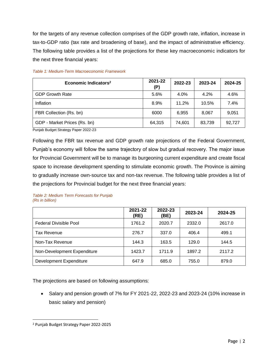for the targets of any revenue collection comprises of the GDP growth rate, inflation, increase in tax-to-GDP ratio (tax rate and broadening of base), and the impact of administrative efficiency. The following table provides a list of the projections for these key macroeconomic indicators for the next three financial years:

| Economic Indicators <sup>2</sup> | 2021-22<br>(P) | 2022-23 | 2023-24 | 2024-25 |
|----------------------------------|----------------|---------|---------|---------|
| <b>GDP Growth Rate</b>           | 5.6%           | $4.0\%$ | 4.2%    | 4.6%    |
| Inflation                        | 8.9%           | 11.2%   | 10.5%   | 7.4%    |
| FBR Collection (Rs. bn)          | 6000           | 6.955   | 8.067   | 9.051   |
| GDP - Market Prices (Rs. bn)     | 64.315         | 74.601  | 83,739  | 92,727  |

#### *Table 1: Medium-Term Macroeconomic Framework*

Punjab Budget Strategy Paper 2022-23

Following the FBR tax revenue and GDP growth rate projections of the Federal Government, Punjab's economy will follow the same trajectory of slow but gradual recovery. The major issue for Provincial Government will be to manage its burgeoning current expenditure and create fiscal space to increase development spending to stimulate economic growth. The Province is aiming to gradually increase own-source tax and non-tax revenue. The following table provides a list of the projections for Provincial budget for the next three financial years:

#### *Table 2: Medium Term Forecasts for Punjab (Rs in billion)*

|                             | 2021-22<br>(RE) | 2022-23<br>(BE) | 2023-24 | 2024-25 |
|-----------------------------|-----------------|-----------------|---------|---------|
| Federal Divisible Pool      | 1761.2          | 2020.7          | 2332.0  | 2617.0  |
| Tax Revenue                 | 276.7           | 337.0           | 406.4   | 499.1   |
| Non-Tax Revenue             | 144.3           | 163.5           | 129.0   | 144.5   |
| Non-Development Expenditure | 1423.7          | 1711.9          | 1897.2  | 2117.2  |
| Development Expenditure     | 647.9           | 685.0           | 755.0   | 879.0   |

The projections are based on following assumptions:

• Salary and pension growth of 7% for FY 2021-22, 2022-23 and 2023-24 (10% increase in basic salary and pension)

<sup>2</sup> [Punjab](http://www.finance.gov.pk/budget/MTBSP_2021_2024.pdf) Budget Strategy Paper 2022-2025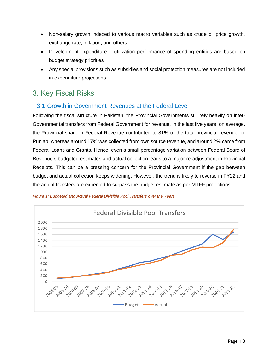- Non-salary growth indexed to various macro variables such as crude oil price growth, exchange rate, inflation, and others
- Development expenditure utilization performance of spending entities are based on budget strategy priorities
- Any special provisions such as subsidies and social protection measures are not included in expenditure projections

### <span id="page-6-0"></span>3. Key Fiscal Risks

### <span id="page-6-1"></span>3.1 Growth in Government Revenues at the Federal Level

Following the fiscal structure in Pakistan, the Provincial Governments still rely heavily on inter-Governmental transfers from Federal Government for revenue. In the last five years, on average, the Provincial share in Federal Revenue contributed to 81% of the total provincial revenue for Punjab, whereas around 17% was collected from own source revenue, and around 2% came from Federal Loans and Grants. Hence, even a small percentage variation between Federal Board of Revenue's budgeted estimates and actual collection leads to a major re-adjustment in Provincial Receipts. This can be a pressing concern for the Provincial Government if the gap between budget and actual collection keeps widening. However, the trend is likely to reverse in FY22 and the actual transfers are expected to surpass the budget estimate as per MTFF projections.



*Figure 1: Budgeted and Actual Federal Divisible Pool Transfers over the Years*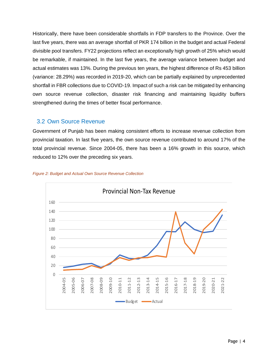Historically, there have been considerable shortfalls in FDP transfers to the Province. Over the last five years, there was an average shortfall of PKR 174 billion in the budget and actual Federal divisible pool transfers. FY22 projections reflect an exceptionally high growth of 25% which would be remarkable, if maintained. In the last five years, the average variance between budget and actual estimates was 13%. During the previous ten years, the highest difference of Rs 453 billion (variance: 28.29%) was recorded in 2019-20, which can be partially explained by unprecedented shortfall in FBR collections due to COVID-19. Impact of such a risk can be mitigated by enhancing own source revenue collection, disaster risk financing and maintaining liquidity buffers strengthened during the times of better fiscal performance.

#### <span id="page-7-0"></span>3.2 Own Source Revenue

Government of Punjab has been making consistent efforts to increase revenue collection from provincial taxation. In last five years, the own source revenue contributed to around 17% of the total provincial revenue. Since 2004-05, there has been a 16% growth in this source, which reduced to 12% over the preceding six years.



#### *Figure 2: Budget and Actual Own Source Revenue Collection*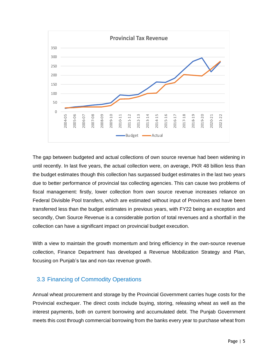

The gap between budgeted and actual collections of own source revenue had been widening in until recently. In last five years, the actual collection were, on average, PKR 48 billion less than the budget estimates though this collection has surpassed budget estimates in the last two years due to better performance of provincial tax collecting agencies. This can cause two problems of fiscal management: firstly, lower collection from own source revenue increases reliance on Federal Divisible Pool transfers, which are estimated without input of Provinces and have been transferred less than the budget estimates in previous years, with FY22 being an exception and secondly, Own Source Revenue is a considerable portion of total revenues and a shortfall in the collection can have a significant impact on provincial budget execution.

With a view to maintain the growth momentum and bring efficiency in the own-source revenue collection, Finance Department has developed a Revenue Mobilization Strategy and Plan, focusing on Punjab's tax and non-tax revenue growth.

#### <span id="page-8-0"></span>3.3 Financing of Commodity Operations

Annual wheat procurement and storage by the Provincial Government carries huge costs for the Provincial exchequer. The direct costs include buying, storing, releasing wheat as well as the interest payments, both on current borrowing and accumulated debt. The Punjab Government meets this cost through commercial borrowing from the banks every year to purchase wheat from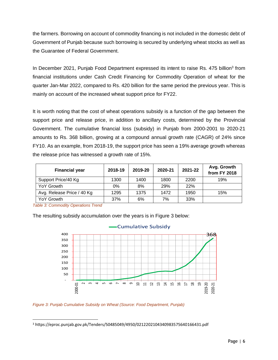the farmers. Borrowing on account of commodity financing is not included in the domestic debt of Government of Punjab because such borrowing is secured by underlying wheat stocks as well as the Guarantee of Federal Government.

In December 2021, Punjab Food Department expressed its intent to raise Rs. 475 billion<sup>3</sup> from financial institutions under Cash Credit Financing for Commodity Operation of wheat for the quarter Jan-Mar 2022, compared to Rs. 420 billion for the same period the previous year. This is mainly on account of the increased wheat support price for FY22.

It is worth noting that the cost of wheat operations subsidy is a function of the gap between the support price and release price, in addition to ancillary costs, determined by the Provincial Government. The cumulative financial loss (subsidy) in Punjab from 2000-2001 to 2020-21 amounts to Rs. 368 billion, growing at a compound annual growth rate (CAGR) of 24% since FY10. As an example, from 2018-19, the support price has seen a 19% average growth whereas the release price has witnessed a growth rate of 15%.

| <b>Financial year</b>      | 2018-19 | 2019-20 | 2020-21 | 2021-22 | Avg. Growth<br>from FY 2018 |
|----------------------------|---------|---------|---------|---------|-----------------------------|
| Support Price/40 Kg        | 1300    | 1400    | 1800    | 2200    | 19%                         |
| YoY Growth                 | $0\%$   | 8%      | 29%     | 22%     |                             |
| Avg. Release Price / 40 Kg | 1295    | 1375    | 1472    | 1950    | 15%                         |
| YoY Growth                 | 37%     | 6%      | 7%      | 33%     |                             |

*Table 3: Commodity Operations Trend*

The resulting subsidy accumulation over the years is in Figure 3 below:





<sup>3</sup> https://eproc.punjab.gov.pk/Tenders/50485049/4950/0212202104340983575640166431.pdf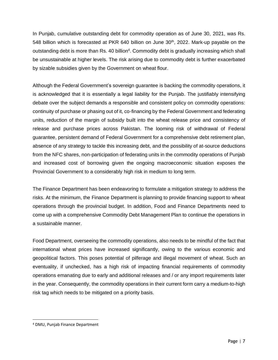In Punjab, cumulative outstanding debt for commodity operation as of June 30, 2021, was Rs. 548 billion which is forecasted at PKR 640 billion on June  $30<sup>th</sup>$ , 2022. Mark-up payable on the outstanding debt is more than Rs. 40 billion<sup>4</sup>. Commodity debt is gradually increasing which shall be unsustainable at higher levels. The risk arising due to commodity debt is further exacerbated by sizable subsidies given by the Government on wheat flour.

Although the Federal Government's sovereign guarantee is backing the commodity operations, it is acknowledged that it is essentially a legal liability for the Punjab. The justifiably intensifying debate over the subject demands a responsible and consistent policy on commodity operations: continuity of purchase or phasing out of it, co-financing by the Federal Government and federating units, reduction of the margin of subsidy built into the wheat release price and consistency of release and purchase prices across Pakistan. The looming risk of withdrawal of Federal guarantee, persistent demand of Federal Government for a comprehensive debt retirement plan, absence of any strategy to tackle this increasing debt, and the possibility of at-source deductions from the NFC shares, non-participation of federating units in the commodity operations of Punjab and increased cost of borrowing given the ongoing macroeconomic situation exposes the Provincial Government to a considerably high risk in medium to long term.

The Finance Department has been endeavoring to formulate a mitigation strategy to address the risks. At the minimum, the Finance Department is planning to provide financing support to wheat operations through the provincial budget. In addition, Food and Finance Departments need to come up with a comprehensive Commodity Debt Management Plan to continue the operations in a sustainable manner.

Food Department, overseeing the commodity operations, also needs to be mindful of the fact that international wheat prices have increased significantly, owing to the various economic and geopolitical factors. This poses potential of pilferage and illegal movement of wheat. Such an eventuality, if unchecked, has a high risk of impacting financial requirements of commodity operations emanating due to early and additional releases and / or any import requirements later in the year. Consequently, the commodity operations in their current form carry a medium-to-high risk tag which needs to be mitigated on a priority basis.

<sup>4</sup> DMU, Punjab Finance Department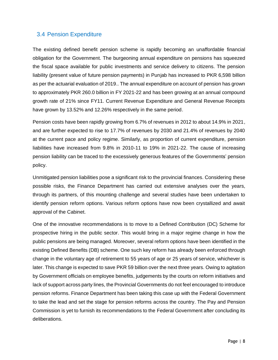#### <span id="page-11-0"></span>3.4 Pension Expenditure

The existing defined benefit pension scheme is rapidly becoming an unaffordable financial obligation for the Government. The burgeoning annual expenditure on pensions has squeezed the fiscal space available for public investments and service delivery to citizens. The pension liability (present value of future pension payments) in Punjab has increased to PKR 6,598 billion as per the actuarial evaluation of 2019.. The annual expenditure on account of pension has grown to approximately PKR 260.0 billion in FY 2021-22 and has been growing at an annual compound growth rate of 21% since FY11. Current Revenue Expenditure and General Revenue Receipts have grown by 13.52% and 12.26% respectively in the same period.

Pension costs have been rapidly growing from 6.7% of revenues in 2012 to about 14.9% in 2021, and are further expected to rise to 17.7% of revenues by 2030 and 21.4% of revenues by 2040 at the current pace and policy regime. Similarly, as proportion of current expenditure, pension liabilities have increased from 9.8% in 2010-11 to 19% in 2021-22. The cause of increasing pension liability can be traced to the excessively generous features of the Governments' pension policy.

Unmitigated pension liabilities pose a significant risk to the provincial finances. Considering these possible risks, the Finance Department has carried out extensive analyses over the years, through its partners, of this mounting challenge and several studies have been undertaken to identify pension reform options. Various reform options have now been crystallized and await approval of the Cabinet.

One of the innovative recommendations is to move to a Defined Contribution (DC) Scheme for prospective hiring in the public sector. This would bring in a major regime change in how the public pensions are being managed. Moreover, several reform options have been identified in the existing Defined Benefits (DB) scheme. One such key reform has already been enforced through change in the voluntary age of retirement to 55 years of age or 25 years of service, whichever is later. This change is expected to save PKR 59 billion over the next three years. Owing to agitation by Government officials on employee benefits, judgements by the courts on reform initiatives and lack of support across party lines, the Provincial Governments do not feel encouraged to introduce pension reforms. Finance Department has been taking this case up with the Federal Government to take the lead and set the stage for pension reforms across the country. The Pay and Pension Commission is yet to furnish its recommendations to the Federal Government after concluding its deliberations.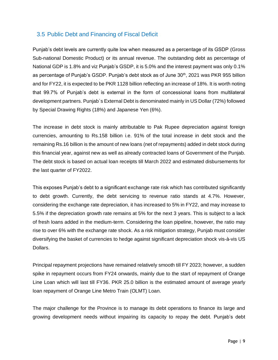### <span id="page-12-0"></span>3.5 Public Debt and Financing of Fiscal Deficit

Punjab's debt levels are currently quite low when measured as a percentage of its GSDP (Gross Sub-national Domestic Product) or its annual revenue. The outstanding debt as percentage of National GDP is 1.8% and viz Punjab's GSDP, it is 5.0% and the interest payment was only 0.1% as percentage of Punjab's GSDP. Punjab's debt stock as of June 30<sup>th</sup>, 2021 was PKR 955 billion and for FY22, it is expected to be PKR 1128 billion reflecting an increase of 18%. It is worth noting that 99.7% of Punjab's debt is external in the form of concessional loans from multilateral development partners. Punjab`s External Debt is denominated mainly in US Dollar (72%) followed by Special Drawing Rights (18%) and Japanese Yen (6%).

The increase in debt stock is mainly attributable to Pak Rupee depreciation against foreign currencies, amounting to Rs.158 billion i.e. 91% of the total increase in debt stock and the remaining Rs.16 billion is the amount of new loans (net of repayments) added in debt stock during this financial year, against new as well as already contracted loans of Government of the Punjab. The debt stock is based on actual loan receipts till March 2022 and estimated disbursements for the last quarter of FY2022.

This exposes Punjab's debt to a significant exchange rate risk which has contributed significantly to debt growth. Currently, the debt servicing to revenue ratio stands at 4.7%. However, considering the exchange rate depreciation, it has increased to 5% in FY22, and may increase to 5.5% if the depreciation growth rate remains at 5% for the next 3 years. This is subject to a lack of fresh loans added in the medium-term. Considering the loan pipeline, however, the ratio may rise to over 6% with the exchange rate shock. As a risk mitigation strategy, Punjab must consider diversifying the basket of currencies to hedge against significant depreciation shock vis-à-vis US Dollars.

Principal repayment projections have remained relatively smooth till FY 2023; however, a sudden spike in repayment occurs from FY24 onwards, mainly due to the start of repayment of Orange Line Loan which will last till FY36. PKR 25.0 billion is the estimated amount of average yearly loan repayment of Orange Line Metro Train (OLMT) Loan.

The major challenge for the Province is to manage its debt operations to finance its large and growing development needs without impairing its capacity to repay the debt. Punjab's debt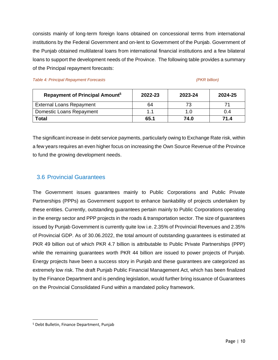consists mainly of long-term foreign loans obtained on concessional terms from international institutions by the Federal Government and on-lent to Government of the Punjab. Government of the Punjab obtained multilateral loans from international financial institutions and a few bilateral loans to support the development needs of the Province. The following table provides a summary of the Principal repayment forecasts:

*Table 4: Principal Repayment Forecasts (PKR billion)*

| Repayment of Principal Amount <sup>5</sup> | 2022-23 | 2023-24 | 2024-25 |
|--------------------------------------------|---------|---------|---------|
| <b>External Loans Repayment</b>            | 64      |         |         |
| <b>Domestic Loans Repayment</b>            |         |         | 0.4     |
| <b>Total</b>                               | 65.1    | 74.0    | 71 4    |

The significant increase in debt service payments, particularly owing to Exchange Rate risk, within a few years requires an even higher focus on increasing the Own Source Revenue of the Province to fund the growing development needs.

#### <span id="page-13-0"></span>3.6 Provincial Guarantees

The Government issues guarantees mainly to Public Corporations and Public Private Partnerships (PPPs) as Government support to enhance bankability of projects undertaken by these entities. Currently, outstanding guarantees pertain mainly to Public Corporations operating in the energy sector and PPP projects in the roads & transportation sector. The size of guarantees issued by Punjab Government is currently quite low i.e. 2.35% of Provincial Revenues and 2.35% of Provincial GDP. As of 30.06.2022, the total amount of outstanding guarantees is estimated at PKR 49 billion out of which PKR 4.7 billion is attributable to Public Private Partnerships (PPP) while the remaining guarantees worth PKR 44 billion are issued to power projects of Punjab. Energy projects have been a success story in Punjab and these guarantees are categorized as extremely low risk. The draft Punjab Public Financial Management Act, which has been finalized by the Finance Department and is pending legislation, would further bring issuance of Guarantees on the Provincial Consolidated Fund within a mandated policy framework.

<sup>5</sup> Debt Bulletin, Finance Department, Punjab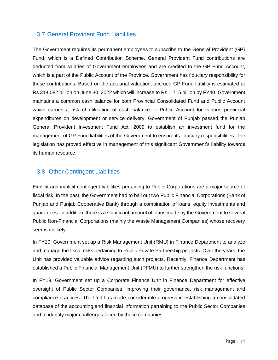#### <span id="page-14-0"></span>3.7 General Provident Fund Liabilities

The Government requires its permanent employees to subscribe to the General Provident (GP) Fund, which is a Defined Contribution Scheme. General Provident Fund contributions are deducted from salaries of Government employees and are credited to the GP Fund Account, which is a part of the Public Account of the Province. Government has fiduciary responsibility for these contributions. Based on the actuarial valuation, accrued GP Fund liability is estimated at Rs 314.082 billion on June 30, 2022 which will increase to Rs 1,715 billion by FY40. Government maintains a common cash balance for both Provincial Consolidated Fund and Public Account which carries a risk of utilization of cash balance of Public Account for various provincial expenditures on development or service delivery. Government of Punjab passed the Punjab General Provident Investment Fund Act, 2009 to establish an investment fund for the management of GP Fund liabilities of the Government to ensure its fiduciary responsibilities. The legislation has proved effective in management of this significant Government's liability towards its human resource.

#### <span id="page-14-1"></span>3.8 Other Contingent Liabilities

Explicit and implicit contingent liabilities pertaining to Public Corporations are a major source of fiscal risk. In the past, the Government had to bail out two Public Financial Corporations (Bank of Punjab and Punjab Cooperative Bank) through a combination of loans, equity investments and guarantees. In addition, there is a significant amount of loans made by the Government to several Public Non-Financial Corporations (mainly the Waste Management Companies) whose recovery seems unlikely.

In FY10, Government set up a Risk Management Unit (RMU) in Finance Department to analyze and manage the fiscal risks pertaining to Public Private Partnership projects. Over the years, the Unit has provided valuable advice regarding such projects. Recently, Finance Department has established a Public Financial Management Unit (PFMU) to further strengthen the risk functions.

In FY19, Government set up a Corporate Finance Unit in Finance Department for effective oversight of Public Sector Companies, improving their governance, risk management and compliance practices. The Unit has made considerable progress in establishing a consolidated database of the accounting and financial information pertaining to the Public Sector Companies and to identify major challenges faced by these companies.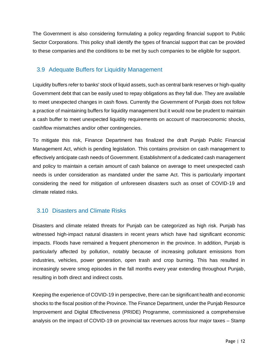The Government is also considering formulating a policy regarding financial support to Public Sector Corporations. This policy shall identify the types of financial support that can be provided to these companies and the conditions to be met by such companies to be eligible for support.

### <span id="page-15-0"></span>3.9 Adequate Buffers for Liquidity Management

Liquidity buffers refer to banks' stock of liquid assets, such as central bank reserves or high-quality Government debt that can be easily used to repay obligations as they fall due. They are available to meet unexpected changes in cash flows. Currently the Government of Punjab does not follow a practice of maintaining buffers for liquidity management but it would now be prudent to maintain a cash buffer to meet unexpected liquidity requirements on account of macroeconomic shocks, cashflow mismatches and/or other contingencies.

To mitigate this risk, Finance Department has finalized the draft Punjab Public Financial Management Act, which is pending legislation. This contains provision on cash management to effectively anticipate cash needs of Government. Establishment of a dedicated cash management and policy to maintain a certain amount of cash balance on average to meet unexpected cash needs is under consideration as mandated under the same Act. This is particularly important considering the need for mitigation of unforeseen disasters such as onset of COVID-19 and climate related risks.

### <span id="page-15-1"></span>3.10 Disasters and Climate Risks

Disasters and climate related threats for Punjab can be categorized as high risk. Punjab has witnessed high-impact natural disasters in recent years which have had significant economic impacts. Floods have remained a frequent phenomenon in the province. In addition, Punjab is particularly affected by pollution, notably because of increasing pollutant emissions from industries, vehicles, power generation, open trash and crop burning. This has resulted in increasingly severe smog episodes in the fall months every year extending throughout Punjab, resulting in both direct and indirect costs.

Keeping the experience of COVID-19 in perspective, there can be significant health and economic shocks to the fiscal position of the Province. The Finance Department, under the Punjab Resource Improvement and Digital Effectiveness (PRIDE) Programme, commissioned a comprehensive analysis on the impact of COVID-19 on provincial tax revenues across four major taxes – Stamp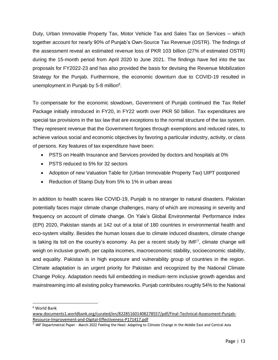Duty, Urban Immovable Property Tax, Motor Vehicle Tax and Sales Tax on Services – which together account for nearly 90% of Punjab's Own-Source Tax Revenue (OSTR). The findings of the assessment reveal an estimated revenue loss of PKR 103 billion (27% of estimated OSTR) during the 15-month period from April 2020 to June 2021. The findings have fed into the tax proposals for FY2022-23 and has also provided the basis for devising the Revenue Mobilization Strategy for the Punjab. Furthermore, the economic downturn due to COVID-19 resulted in unemployment in Punjab by 5-8 million<sup>6</sup>.

To compensate for the economic slowdown, Government of Punjab continued the Tax Relief Package initially introduced in FY20, in FY22 worth over PKR 50 billion. Tax expenditures are special tax provisions in the tax law that are exceptions to the normal structure of the tax system. They represent revenue that the Government forgoes through exemptions and reduced rates, to achieve various social and economic objectives by favoring a particular industry, activity, or class of persons. Key features of tax expenditure have been:

- PSTS on Health Insurance and Services provided by doctors and hospitals at 0%
- PSTS reduced to 5% for 32 sectors
- Adoption of new Valuation Table for (Urban Immovable Property Tax) UIPT postponed
- Reduction of Stamp Duty from 5% to 1% in urban areas

In addition to health scares like COVID-19, Punjab is no stranger to natural disasters. Pakistan potentially faces major climate change challenges, many of which are increasing in severity and frequency on account of climate change. On Yale's Global Environmental Performance Index (EPI) 2020, Pakistan stands at 142 out of a total of 180 countries in environmental health and eco-system vitality. Besides the human losses due to climate induced disasters, climate change is taking its toll on the country's economy. As per a recent study by IMF<sup>7</sup>, climate change will weigh on inclusive growth, per capita incomes, macroeconomic stability, socioeconomic stability, and equality. Pakistan is in high exposure and vulnerability group of countries in the region. Climate adaptation is an urgent priority for Pakistan and recognized by the National Climate Change Policy. Adaptation needs full embedding in medium-term inclusive growth agendas and mainstreaming into all existing policy frameworks. Punjab contributes roughly 54% to the National

<sup>6</sup> World Bank

[www.documents1.worldbank.org/curated/en/822851601408278557/pdf/Final-Technical-Assessment-Punjab-](http://www.documents1.worldbank.org/curated/en/822851601408278557/pdf/Final-Technical-Assessment-Punjab-Resource-Improvement-and-Digital-Effectiveness-P171417.pdf)[Resource-Improvement-and-Digital-Effectiveness-P171417.pdf](http://www.documents1.worldbank.org/curated/en/822851601408278557/pdf/Final-Technical-Assessment-Punjab-Resource-Improvement-and-Digital-Effectiveness-P171417.pdf)

<sup>&</sup>lt;sup>7</sup> IMF Departmental Paper - March 2022 Feeling the Heat: Adapting to Climate Change in the Middle East and Central Asia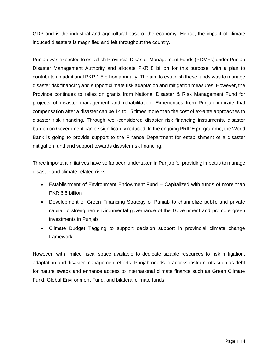GDP and is the industrial and agricultural base of the economy. Hence, the impact of climate induced disasters is magnified and felt throughout the country.

Punjab was expected to establish Provincial Disaster Management Funds (PDMFs) under Punjab Disaster Management Authority and allocate PKR 8 billion for this purpose, with a plan to contribute an additional PKR 1.5 billion annually. The aim to establish these funds was to manage disaster risk financing and support climate risk adaptation and mitigation measures. However, the Province continues to relies on grants from National Disaster & Risk Management Fund for projects of disaster management and rehabilitation. Experiences from Punjab indicate that compensation after a disaster can be 14 to 15 times more than the cost of ex-ante approaches to disaster risk financing. Through well-considered disaster risk financing instruments, disaster burden on Government can be significantly reduced. In the ongoing PRIDE programme, the World Bank is going to provide support to the Finance Department for establishment of a disaster mitigation fund and support towards disaster risk financing.

Three important initiatives have so far been undertaken in Punjab for providing impetus to manage disaster and climate related risks:

- Establishment of Environment Endowment Fund Capitalized with funds of more than PKR 6.5 billion
- Development of Green Financing Strategy of Punjab to channelize public and private capital to strengthen environmental governance of the Government and promote green investments in Punjab
- Climate Budget Tagging to support decision support in provincial climate change framework

However, with limited fiscal space available to dedicate sizable resources to risk mitigation, adaptation and disaster management efforts, Punjab needs to access instruments such as debt for nature swaps and enhance access to international climate finance such as Green Climate Fund, Global Environment Fund, and bilateral climate funds.